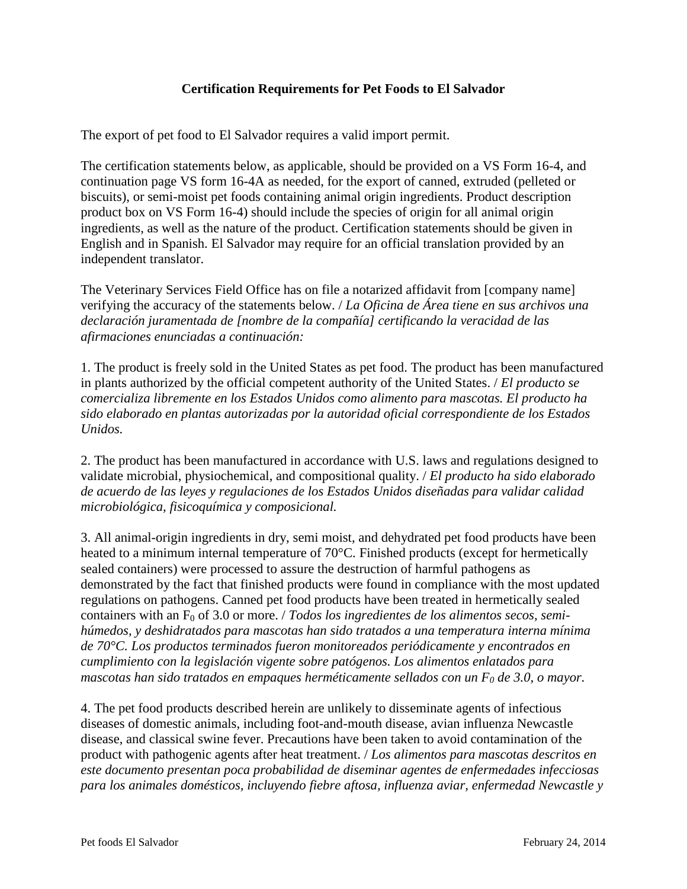## **Certification Requirements for Pet Foods to El Salvador**

The export of pet food to El Salvador requires a valid import permit.

The certification statements below, as applicable, should be provided on a VS Form 16-4, and continuation page VS form 16-4A as needed, for the export of canned, extruded (pelleted or biscuits), or semi-moist pet foods containing animal origin ingredients. Product description product box on VS Form 16-4) should include the species of origin for all animal origin ingredients, as well as the nature of the product. Certification statements should be given in English and in Spanish. El Salvador may require for an official translation provided by an independent translator.

The Veterinary Services Field Office has on file a notarized affidavit from [company name] verifying the accuracy of the statements below. / *La Oficina de Área tiene en sus archivos una declaración juramentada de [nombre de la compañía] certificando la veracidad de las afirmaciones enunciadas a continuación:*

1. The product is freely sold in the United States as pet food. The product has been manufactured in plants authorized by the official competent authority of the United States. / *El producto se comercializa libremente en los Estados Unidos como alimento para mascotas. El producto ha sido elaborado en plantas autorizadas por la autoridad oficial correspondiente de los Estados Unidos.*

2. The product has been manufactured in accordance with U.S. laws and regulations designed to validate microbial, physiochemical, and compositional quality. / *El producto ha sido elaborado de acuerdo de las leyes y regulaciones de los Estados Unidos diseñadas para validar calidad microbiológica, fisicoquímica y composicional.*

3. All animal-origin ingredients in dry, semi moist, and dehydrated pet food products have been heated to a minimum internal temperature of 70°C. Finished products (except for hermetically sealed containers) were processed to assure the destruction of harmful pathogens as demonstrated by the fact that finished products were found in compliance with the most updated regulations on pathogens. Canned pet food products have been treated in hermetically sealed containers with an F<sub>0</sub> of 3.0 or more. / *Todos los ingredientes de los alimentos secos, semihúmedos, y deshidratados para mascotas han sido tratados a una temperatura interna mínima de 70°C. Los productos terminados fueron monitoreados periódicamente y encontrados en cumplimiento con la legislación vigente sobre patógenos. Los alimentos enlatados para mascotas han sido tratados en empaques herméticamente sellados con un F0 de 3.0, o mayor.*

4. The pet food products described herein are unlikely to disseminate agents of infectious diseases of domestic animals, including foot-and-mouth disease, avian influenza Newcastle disease, and classical swine fever. Precautions have been taken to avoid contamination of the product with pathogenic agents after heat treatment. / *Los alimentos para mascotas descritos en este documento presentan poca probabilidad de diseminar agentes de enfermedades infecciosas para los animales domésticos, incluyendo fiebre aftosa, influenza aviar, enfermedad Newcastle y*